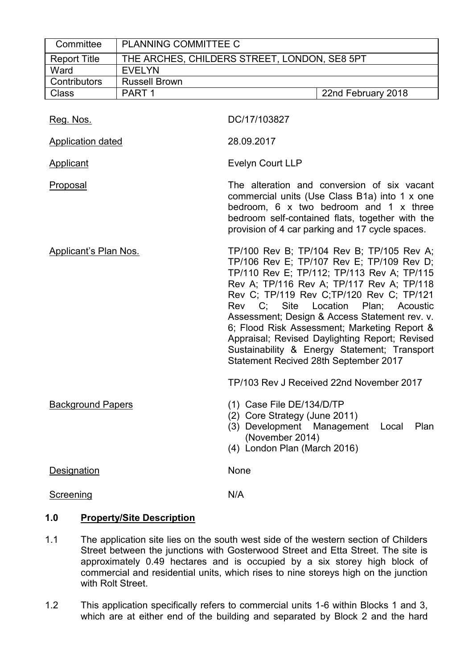| Committee                    | PLANNING COMMITTEE C |                                                                                                                                                                                                                                                                                                                                                                                                                                                                                                                   |
|------------------------------|----------------------|-------------------------------------------------------------------------------------------------------------------------------------------------------------------------------------------------------------------------------------------------------------------------------------------------------------------------------------------------------------------------------------------------------------------------------------------------------------------------------------------------------------------|
| <b>Report Title</b>          |                      | THE ARCHES, CHILDERS STREET, LONDON, SE8 5PT                                                                                                                                                                                                                                                                                                                                                                                                                                                                      |
| Ward                         | <b>EVELYN</b>        |                                                                                                                                                                                                                                                                                                                                                                                                                                                                                                                   |
| Contributors                 | <b>Russell Brown</b> |                                                                                                                                                                                                                                                                                                                                                                                                                                                                                                                   |
| <b>Class</b>                 | PART <sub>1</sub>    | 22nd February 2018                                                                                                                                                                                                                                                                                                                                                                                                                                                                                                |
| Reg. Nos.                    |                      | DC/17/103827                                                                                                                                                                                                                                                                                                                                                                                                                                                                                                      |
| <b>Application dated</b>     |                      | 28.09.2017                                                                                                                                                                                                                                                                                                                                                                                                                                                                                                        |
| <b>Applicant</b>             |                      | <b>Evelyn Court LLP</b>                                                                                                                                                                                                                                                                                                                                                                                                                                                                                           |
| <u>Proposal</u>              |                      | The alteration and conversion of six vacant<br>commercial units (Use Class B1a) into 1 x one<br>bedroom, 6 x two bedroom and 1 x three<br>bedroom self-contained flats, together with the<br>provision of 4 car parking and 17 cycle spaces.                                                                                                                                                                                                                                                                      |
| <b>Applicant's Plan Nos.</b> |                      | TP/100 Rev B; TP/104 Rev B; TP/105 Rev A;<br>TP/106 Rev E; TP/107 Rev E; TP/109 Rev D;<br>TP/110 Rev E; TP/112; TP/113 Rev A; TP/115<br>Rev A; TP/116 Rev A; TP/117 Rev A; TP/118<br>Rev C; TP/119 Rev C; TP/120 Rev C; TP/121<br>Rev C; Site Location Plan; Acoustic<br>Assessment; Design & Access Statement rev. v.<br>6; Flood Risk Assessment; Marketing Report &<br>Appraisal; Revised Daylighting Report; Revised<br>Sustainability & Energy Statement; Transport<br>Statement Recived 28th September 2017 |
|                              |                      | TP/103 Rev J Received 22nd November 2017                                                                                                                                                                                                                                                                                                                                                                                                                                                                          |
| <b>Background Papers</b>     |                      | (1) Case File DE/134/D/TP<br>(2) Core Strategy (June 2011)<br>(3) Development Management<br>Plan<br>Local<br>(November 2014)<br>(4) London Plan (March 2016)                                                                                                                                                                                                                                                                                                                                                      |
| Designation                  |                      | None                                                                                                                                                                                                                                                                                                                                                                                                                                                                                                              |
| <b>Screening</b>             |                      | N/A                                                                                                                                                                                                                                                                                                                                                                                                                                                                                                               |

# **1.0 Property/Site Description**

- 1.1 The application site lies on the south west side of the western section of Childers Street between the junctions with Gosterwood Street and Etta Street. The site is approximately 0.49 hectares and is occupied by a six storey high block of commercial and residential units, which rises to nine storeys high on the junction with Rolt Street.
- 1.2 This application specifically refers to commercial units 1-6 within Blocks 1 and 3, which are at either end of the building and separated by Block 2 and the hard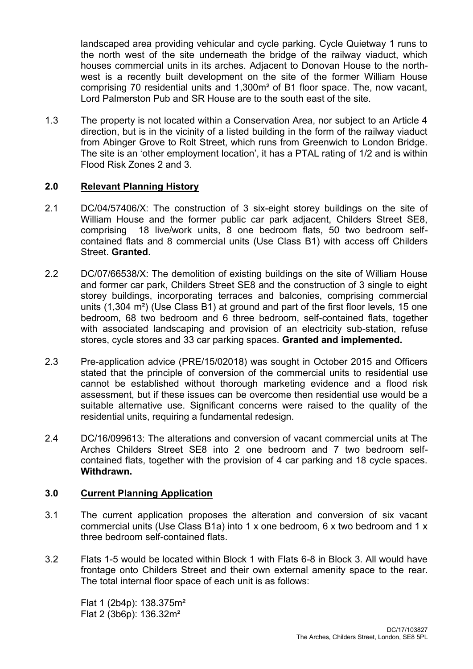landscaped area providing vehicular and cycle parking. Cycle Quietway 1 runs to the north west of the site underneath the bridge of the railway viaduct, which houses commercial units in its arches. Adjacent to Donovan House to the northwest is a recently built development on the site of the former William House comprising 70 residential units and 1,300m² of B1 floor space. The, now vacant, Lord Palmerston Pub and SR House are to the south east of the site.

1.3 The property is not located within a Conservation Area, nor subject to an Article 4 direction, but is in the vicinity of a listed building in the form of the railway viaduct from Abinger Grove to Rolt Street, which runs from Greenwich to London Bridge. The site is an 'other employment location', it has a PTAL rating of 1/2 and is within Flood Risk Zones 2 and 3.

## **2.0 Relevant Planning History**

- 2.1 DC/04/57406/X: The construction of 3 six-eight storey buildings on the site of William House and the former public car park adjacent, Childers Street SE8, comprising 18 live/work units, 8 one bedroom flats, 50 two bedroom selfcontained flats and 8 commercial units (Use Class B1) with access off Childers Street. **Granted.**
- 2.2 DC/07/66538/X: The demolition of existing buildings on the site of William House and former car park, Childers Street SE8 and the construction of 3 single to eight storey buildings, incorporating terraces and balconies, comprising commercial units (1,304 m²) (Use Class B1) at ground and part of the first floor levels, 15 one bedroom, 68 two bedroom and 6 three bedroom, self-contained flats, together with associated landscaping and provision of an electricity sub-station, refuse stores, cycle stores and 33 car parking spaces. **Granted and implemented.**
- 2.3 Pre-application advice (PRE/15/02018) was sought in October 2015 and Officers stated that the principle of conversion of the commercial units to residential use cannot be established without thorough marketing evidence and a flood risk assessment, but if these issues can be overcome then residential use would be a suitable alternative use. Significant concerns were raised to the quality of the residential units, requiring a fundamental redesign.
- 2.4 DC/16/099613: The alterations and conversion of vacant commercial units at The Arches Childers Street SE8 into 2 one bedroom and 7 two bedroom selfcontained flats, together with the provision of 4 car parking and 18 cycle spaces. **Withdrawn.**

## **3.0 Current Planning Application**

- 3.1 The current application proposes the alteration and conversion of six vacant commercial units (Use Class B1a) into 1 x one bedroom, 6 x two bedroom and 1 x three bedroom self-contained flats.
- 3.2 Flats 1-5 would be located within Block 1 with Flats 6-8 in Block 3. All would have frontage onto Childers Street and their own external amenity space to the rear. The total internal floor space of each unit is as follows:

Flat 1 (2b4p): 138.375m² Flat 2 (3b6p): 136.32m²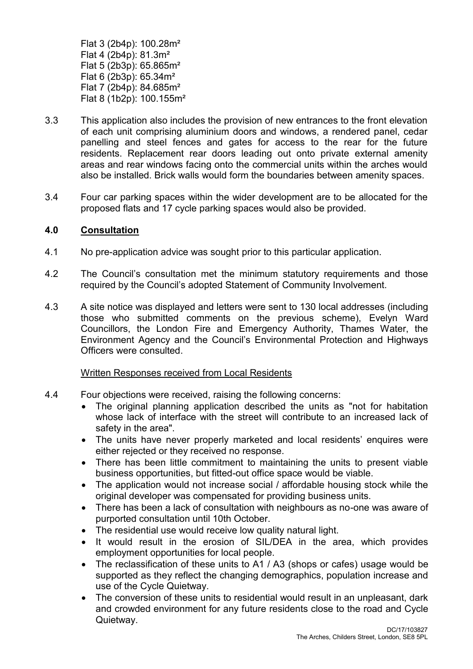Flat 3 (2b4p): 100.28m² Flat 4 (2b4p): 81.3m² Flat 5 (2b3p): 65.865m² Flat 6 (2b3p): 65.34m² Flat 7 (2b4p): 84.685m² Flat 8 (1b2p): 100.155m²

- 3.3 This application also includes the provision of new entrances to the front elevation of each unit comprising aluminium doors and windows, a rendered panel, cedar panelling and steel fences and gates for access to the rear for the future residents. Replacement rear doors leading out onto private external amenity areas and rear windows facing onto the commercial units within the arches would also be installed. Brick walls would form the boundaries between amenity spaces.
- 3.4 Four car parking spaces within the wider development are to be allocated for the proposed flats and 17 cycle parking spaces would also be provided.

## **4.0 Consultation**

- 4.1 No pre-application advice was sought prior to this particular application.
- 4.2 The Council's consultation met the minimum statutory requirements and those required by the Council's adopted Statement of Community Involvement.
- 4.3 A site notice was displayed and letters were sent to 130 local addresses (including those who submitted comments on the previous scheme), Evelyn Ward Councillors, the London Fire and Emergency Authority, Thames Water, the Environment Agency and the Council's Environmental Protection and Highways Officers were consulted.

#### Written Responses received from Local Residents

- 4.4 Four objections were received, raising the following concerns:
	- The original planning application described the units as "not for habitation whose lack of interface with the street will contribute to an increased lack of safety in the area".
	- The units have never properly marketed and local residents' enquires were either rejected or they received no response.
	- There has been little commitment to maintaining the units to present viable business opportunities, but fitted-out office space would be viable.
	- The application would not increase social / affordable housing stock while the original developer was compensated for providing business units.
	- There has been a lack of consultation with neighbours as no-one was aware of purported consultation until 10th October.
	- The residential use would receive low quality natural light.
	- It would result in the erosion of SIL/DEA in the area, which provides employment opportunities for local people.
	- The reclassification of these units to A1 / A3 (shops or cafes) usage would be supported as they reflect the changing demographics, population increase and use of the Cycle Quietway.
	- The conversion of these units to residential would result in an unpleasant, dark and crowded environment for any future residents close to the road and Cycle Quietway.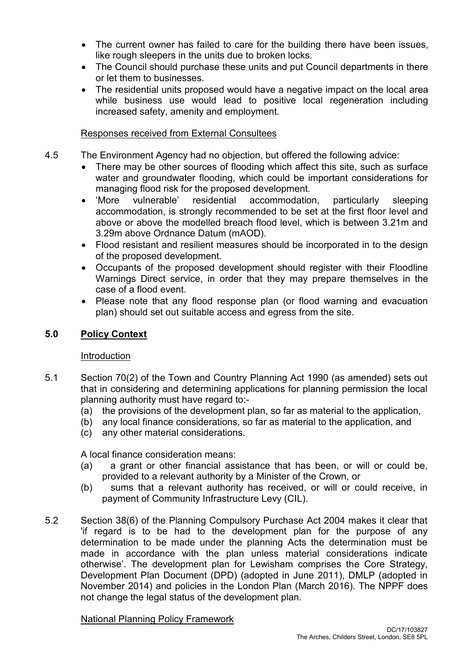- The current owner has failed to care for the building there have been issues, like rough sleepers in the units due to broken locks.
- The Council should purchase these units and put Council departments in there or let them to businesses.
- The residential units proposed would have a negative impact on the local area while business use would lead to positive local regeneration including increased safety, amenity and employment.

# Responses received from External Consultees

- 4.5 The Environment Agency had no objection, but offered the following advice:
	- There may be other sources of flooding which affect this site, such as surface water and groundwater flooding, which could be important considerations for managing flood risk for the proposed development.
	- 'More vulnerable' residential accommodation, particularly sleeping accommodation, is strongly recommended to be set at the first floor level and above or above the modelled breach flood level, which is between 3.21m and 3.29m above Ordnance Datum (mAOD).
	- Flood resistant and resilient measures should be incorporated in to the design of the proposed development.
	- Occupants of the proposed development should register with their Floodline Warnings Direct service, in order that they may prepare themselves in the case of a flood event.
	- Please note that any flood response plan (or flood warning and evacuation plan) should set out suitable access and egress from the site.

# **5.0 Policy Context**

## Introduction

- 5.1 Section 70(2) of the Town and Country Planning Act 1990 (as amended) sets out that in considering and determining applications for planning permission the local planning authority must have regard to:-
	- (a) the provisions of the development plan, so far as material to the application,
	- (b) any local finance considerations, so far as material to the application, and
	- (c) any other material considerations.

A local finance consideration means:

- (a) a grant or other financial assistance that has been, or will or could be, provided to a relevant authority by a Minister of the Crown, or
- (b) sums that a relevant authority has received, or will or could receive, in payment of Community Infrastructure Levy (CIL).
- 5.2 Section 38(6) of the Planning Compulsory Purchase Act 2004 makes it clear that 'if regard is to be had to the development plan for the purpose of any determination to be made under the planning Acts the determination must be made in accordance with the plan unless material considerations indicate otherwise'. The development plan for Lewisham comprises the Core Strategy, Development Plan Document (DPD) (adopted in June 2011), DMLP (adopted in November 2014) and policies in the London Plan (March 2016). The NPPF does not change the legal status of the development plan.

## National Planning Policy Framework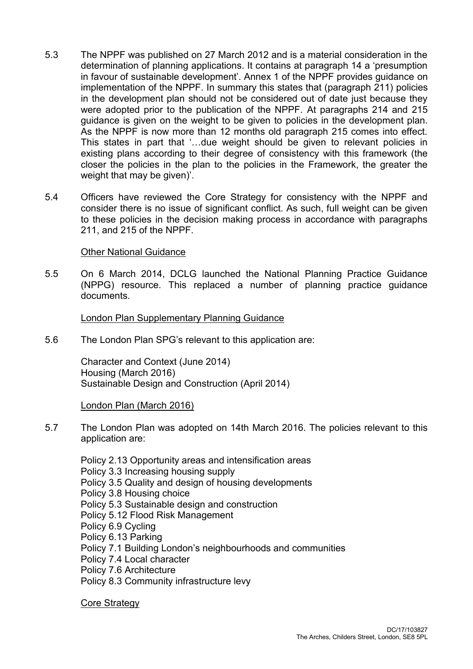- 5.3 The NPPF was published on 27 March 2012 and is a material consideration in the determination of planning applications. It contains at paragraph 14 a 'presumption in favour of sustainable development'. Annex 1 of the NPPF provides guidance on implementation of the NPPF. In summary this states that (paragraph 211) policies in the development plan should not be considered out of date just because they were adopted prior to the publication of the NPPF. At paragraphs 214 and 215 guidance is given on the weight to be given to policies in the development plan. As the NPPF is now more than 12 months old paragraph 215 comes into effect. This states in part that '…due weight should be given to relevant policies in existing plans according to their degree of consistency with this framework (the closer the policies in the plan to the policies in the Framework, the greater the weight that may be given)'.
- 5.4 Officers have reviewed the Core Strategy for consistency with the NPPF and consider there is no issue of significant conflict. As such, full weight can be given to these policies in the decision making process in accordance with paragraphs 211, and 215 of the NPPF.

### Other National Guidance

5.5 On 6 March 2014, DCLG launched the National Planning Practice Guidance (NPPG) resource. This replaced a number of planning practice guidance documents.

### London Plan Supplementary Planning Guidance

5.6 The London Plan SPG's relevant to this application are:

Character and Context (June 2014) Housing (March 2016) Sustainable Design and Construction (April 2014)

#### London Plan (March 2016)

5.7 The London Plan was adopted on 14th March 2016. The policies relevant to this application are:

Policy 2.13 Opportunity areas and intensification areas Policy 3.3 Increasing housing supply Policy 3.5 Quality and design of housing developments Policy 3.8 Housing choice Policy 5.3 Sustainable design and construction Policy 5.12 Flood Risk Management Policy 6.9 Cycling Policy 6.13 Parking Policy 7.1 Building London's neighbourhoods and communities Policy 7.4 Local character Policy 7.6 Architecture Policy 8.3 Community infrastructure levy

Core Strategy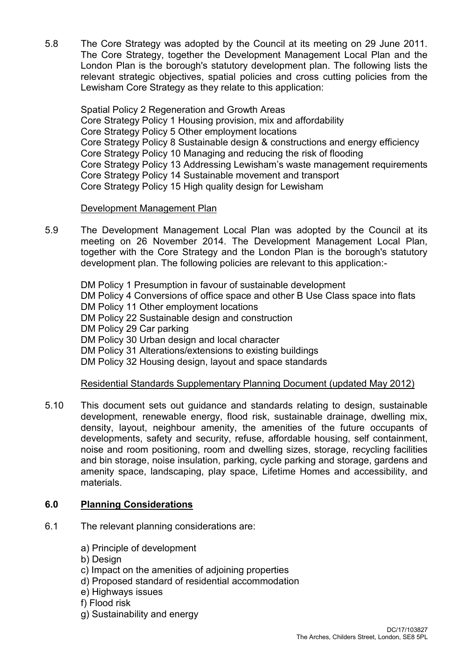5.8 The Core Strategy was adopted by the Council at its meeting on 29 June 2011. The Core Strategy, together the Development Management Local Plan and the London Plan is the borough's statutory development plan. The following lists the relevant strategic objectives, spatial policies and cross cutting policies from the Lewisham Core Strategy as they relate to this application:

Spatial Policy 2 Regeneration and Growth Areas Core Strategy Policy 1 Housing provision, mix and affordability Core Strategy Policy 5 Other employment locations Core Strategy Policy 8 Sustainable design & constructions and energy efficiency Core Strategy Policy 10 Managing and reducing the risk of flooding Core Strategy Policy 13 Addressing Lewisham's waste management requirements Core Strategy Policy 14 Sustainable movement and transport Core Strategy Policy 15 High quality design for Lewisham

# Development Management Plan

5.9 The Development Management Local Plan was adopted by the Council at its meeting on 26 November 2014. The Development Management Local Plan, together with the Core Strategy and the London Plan is the borough's statutory development plan. The following policies are relevant to this application:-

DM Policy 1 Presumption in favour of sustainable development DM Policy 4 Conversions of office space and other B Use Class space into flats DM Policy 11 Other employment locations DM Policy 22 Sustainable design and construction DM Policy 29 Car parking DM Policy 30 Urban design and local character DM Policy 31 Alterations/extensions to existing buildings DM Policy 32 Housing design, layout and space standards

# Residential Standards Supplementary Planning Document (updated May 2012)

5.10 This document sets out guidance and standards relating to design, sustainable development, renewable energy, flood risk, sustainable drainage, dwelling mix, density, layout, neighbour amenity, the amenities of the future occupants of developments, safety and security, refuse, affordable housing, self containment, noise and room positioning, room and dwelling sizes, storage, recycling facilities and bin storage, noise insulation, parking, cycle parking and storage, gardens and amenity space, landscaping, play space, Lifetime Homes and accessibility, and materials.

# **6.0 Planning Considerations**

- 6.1 The relevant planning considerations are:
	- a) Principle of development
	- b) Design
	- c) Impact on the amenities of adjoining properties
	- d) Proposed standard of residential accommodation
	- e) Highways issues
	- f) Flood risk
	- g) Sustainability and energy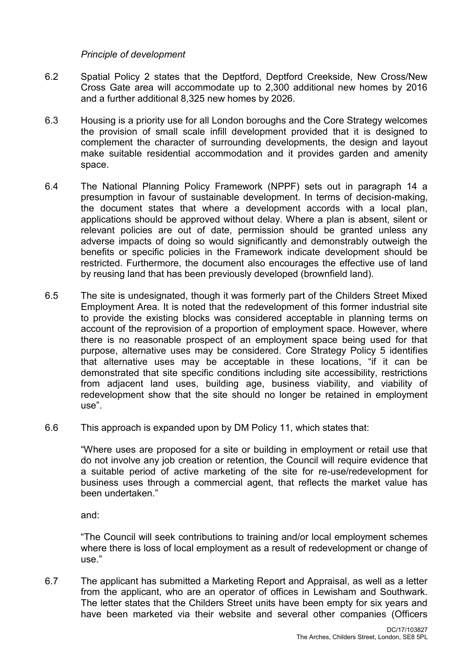*Principle of development*

- 6.2 Spatial Policy 2 states that the Deptford, Deptford Creekside, New Cross/New Cross Gate area will accommodate up to 2,300 additional new homes by 2016 and a further additional 8,325 new homes by 2026.
- 6.3 Housing is a priority use for all London boroughs and the Core Strategy welcomes the provision of small scale infill development provided that it is designed to complement the character of surrounding developments, the design and layout make suitable residential accommodation and it provides garden and amenity space.
- 6.4 The National Planning Policy Framework (NPPF) sets out in paragraph 14 a presumption in favour of sustainable development. In terms of decision-making, the document states that where a development accords with a local plan, applications should be approved without delay. Where a plan is absent, silent or relevant policies are out of date, permission should be granted unless any adverse impacts of doing so would significantly and demonstrably outweigh the benefits or specific policies in the Framework indicate development should be restricted. Furthermore, the document also encourages the effective use of land by reusing land that has been previously developed (brownfield land).
- 6.5 The site is undesignated, though it was formerly part of the Childers Street Mixed Employment Area. It is noted that the redevelopment of this former industrial site to provide the existing blocks was considered acceptable in planning terms on account of the reprovision of a proportion of employment space. However, where there is no reasonable prospect of an employment space being used for that purpose, alternative uses may be considered. Core Strategy Policy 5 identifies that alternative uses may be acceptable in these locations, "if it can be demonstrated that site specific conditions including site accessibility, restrictions from adjacent land uses, building age, business viability, and viability of redevelopment show that the site should no longer be retained in employment use".
- 6.6 This approach is expanded upon by DM Policy 11, which states that:

"Where uses are proposed for a site or building in employment or retail use that do not involve any job creation or retention, the Council will require evidence that a suitable period of active marketing of the site for re-use/redevelopment for business uses through a commercial agent, that reflects the market value has been undertaken."

and:

"The Council will seek contributions to training and/or local employment schemes where there is loss of local employment as a result of redevelopment or change of use."

6.7 The applicant has submitted a Marketing Report and Appraisal, as well as a letter from the applicant, who are an operator of offices in Lewisham and Southwark. The letter states that the Childers Street units have been empty for six years and have been marketed via their website and several other companies (Officers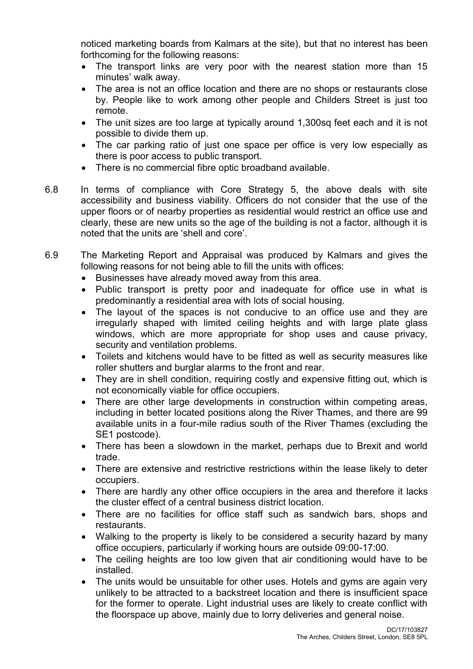noticed marketing boards from Kalmars at the site), but that no interest has been forthcoming for the following reasons:

- The transport links are very poor with the nearest station more than 15 minutes' walk away.
- The area is not an office location and there are no shops or restaurants close by. People like to work among other people and Childers Street is just too remote.
- The unit sizes are too large at typically around 1,300sq feet each and it is not possible to divide them up.
- The car parking ratio of just one space per office is very low especially as there is poor access to public transport.
- There is no commercial fibre optic broadband available.
- 6.8 In terms of compliance with Core Strategy 5, the above deals with site accessibility and business viability. Officers do not consider that the use of the upper floors or of nearby properties as residential would restrict an office use and clearly, these are new units so the age of the building is not a factor, although it is noted that the units are 'shell and core'.
- 6.9 The Marketing Report and Appraisal was produced by Kalmars and gives the following reasons for not being able to fill the units with offices:
	- Businesses have already moved away from this area.
	- Public transport is pretty poor and inadequate for office use in what is predominantly a residential area with lots of social housing.
	- The layout of the spaces is not conducive to an office use and they are irregularly shaped with limited ceiling heights and with large plate glass windows, which are more appropriate for shop uses and cause privacy, security and ventilation problems.
	- Toilets and kitchens would have to be fitted as well as security measures like roller shutters and burglar alarms to the front and rear.
	- They are in shell condition, requiring costly and expensive fitting out, which is not economically viable for office occupiers.
	- There are other large developments in construction within competing areas, including in better located positions along the River Thames, and there are 99 available units in a four-mile radius south of the River Thames (excluding the SE1 postcode).
	- There has been a slowdown in the market, perhaps due to Brexit and world trade.
	- There are extensive and restrictive restrictions within the lease likely to deter occupiers.
	- There are hardly any other office occupiers in the area and therefore it lacks the cluster effect of a central business district location.
	- There are no facilities for office staff such as sandwich bars, shops and restaurants.
	- Walking to the property is likely to be considered a security hazard by many office occupiers, particularly if working hours are outside 09:00-17:00.
	- The ceiling heights are too low given that air conditioning would have to be installed.
	- The units would be unsuitable for other uses. Hotels and gyms are again very unlikely to be attracted to a backstreet location and there is insufficient space for the former to operate. Light industrial uses are likely to create conflict with the floorspace up above, mainly due to lorry deliveries and general noise.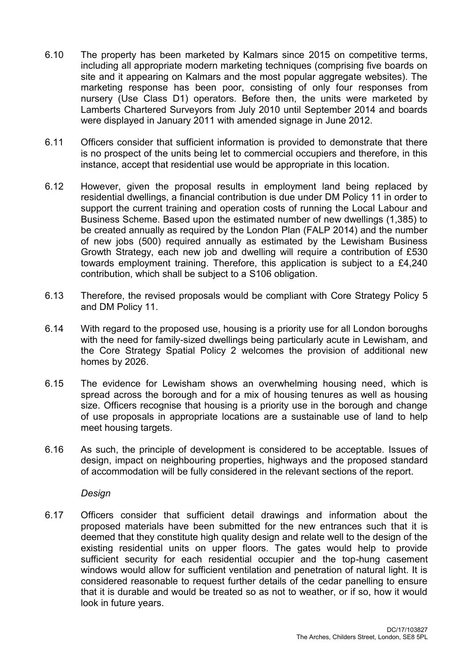- 6.10 The property has been marketed by Kalmars since 2015 on competitive terms, including all appropriate modern marketing techniques (comprising five boards on site and it appearing on Kalmars and the most popular aggregate websites). The marketing response has been poor, consisting of only four responses from nursery (Use Class D1) operators. Before then, the units were marketed by Lamberts Chartered Surveyors from July 2010 until September 2014 and boards were displayed in January 2011 with amended signage in June 2012.
- 6.11 Officers consider that sufficient information is provided to demonstrate that there is no prospect of the units being let to commercial occupiers and therefore, in this instance, accept that residential use would be appropriate in this location.
- 6.12 However, given the proposal results in employment land being replaced by residential dwellings, a financial contribution is due under DM Policy 11 in order to support the current training and operation costs of running the Local Labour and Business Scheme. Based upon the estimated number of new dwellings (1,385) to be created annually as required by the London Plan (FALP 2014) and the number of new jobs (500) required annually as estimated by the Lewisham Business Growth Strategy, each new job and dwelling will require a contribution of £530 towards employment training. Therefore, this application is subject to a £4,240 contribution, which shall be subject to a S106 obligation.
- 6.13 Therefore, the revised proposals would be compliant with Core Strategy Policy 5 and DM Policy 11.
- 6.14 With regard to the proposed use, housing is a priority use for all London boroughs with the need for family-sized dwellings being particularly acute in Lewisham, and the Core Strategy Spatial Policy 2 welcomes the provision of additional new homes by 2026.
- 6.15 The evidence for Lewisham shows an overwhelming housing need, which is spread across the borough and for a mix of housing tenures as well as housing size. Officers recognise that housing is a priority use in the borough and change of use proposals in appropriate locations are a sustainable use of land to help meet housing targets.
- 6.16 As such, the principle of development is considered to be acceptable. Issues of design, impact on neighbouring properties, highways and the proposed standard of accommodation will be fully considered in the relevant sections of the report.

*Design*

6.17 Officers consider that sufficient detail drawings and information about the proposed materials have been submitted for the new entrances such that it is deemed that they constitute high quality design and relate well to the design of the existing residential units on upper floors. The gates would help to provide sufficient security for each residential occupier and the top-hung casement windows would allow for sufficient ventilation and penetration of natural light. It is considered reasonable to request further details of the cedar panelling to ensure that it is durable and would be treated so as not to weather, or if so, how it would look in future years.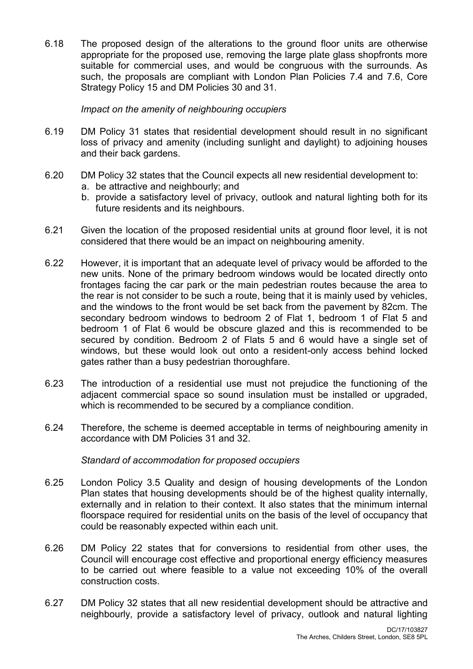6.18 The proposed design of the alterations to the ground floor units are otherwise appropriate for the proposed use, removing the large plate glass shopfronts more suitable for commercial uses, and would be congruous with the surrounds. As such, the proposals are compliant with London Plan Policies 7.4 and 7.6, Core Strategy Policy 15 and DM Policies 30 and 31.

### *Impact on the amenity of neighbouring occupiers*

- 6.19 DM Policy 31 states that residential development should result in no significant loss of privacy and amenity (including sunlight and daylight) to adjoining houses and their back gardens.
- 6.20 DM Policy 32 states that the Council expects all new residential development to:
	- a. be attractive and neighbourly; and
	- b. provide a satisfactory level of privacy, outlook and natural lighting both for its future residents and its neighbours.
- 6.21 Given the location of the proposed residential units at ground floor level, it is not considered that there would be an impact on neighbouring amenity.
- 6.22 However, it is important that an adequate level of privacy would be afforded to the new units. None of the primary bedroom windows would be located directly onto frontages facing the car park or the main pedestrian routes because the area to the rear is not consider to be such a route, being that it is mainly used by vehicles, and the windows to the front would be set back from the pavement by 82cm. The secondary bedroom windows to bedroom 2 of Flat 1, bedroom 1 of Flat 5 and bedroom 1 of Flat 6 would be obscure glazed and this is recommended to be secured by condition. Bedroom 2 of Flats 5 and 6 would have a single set of windows, but these would look out onto a resident-only access behind locked gates rather than a busy pedestrian thoroughfare.
- 6.23 The introduction of a residential use must not prejudice the functioning of the adjacent commercial space so sound insulation must be installed or upgraded, which is recommended to be secured by a compliance condition.
- 6.24 Therefore, the scheme is deemed acceptable in terms of neighbouring amenity in accordance with DM Policies 31 and 32.

#### *Standard of accommodation for proposed occupiers*

- 6.25 London Policy 3.5 Quality and design of housing developments of the London Plan states that housing developments should be of the highest quality internally, externally and in relation to their context. It also states that the minimum internal floorspace required for residential units on the basis of the level of occupancy that could be reasonably expected within each unit.
- 6.26 DM Policy 22 states that for conversions to residential from other uses, the Council will encourage cost effective and proportional energy efficiency measures to be carried out where feasible to a value not exceeding 10% of the overall construction costs.
- 6.27 DM Policy 32 states that all new residential development should be attractive and neighbourly, provide a satisfactory level of privacy, outlook and natural lighting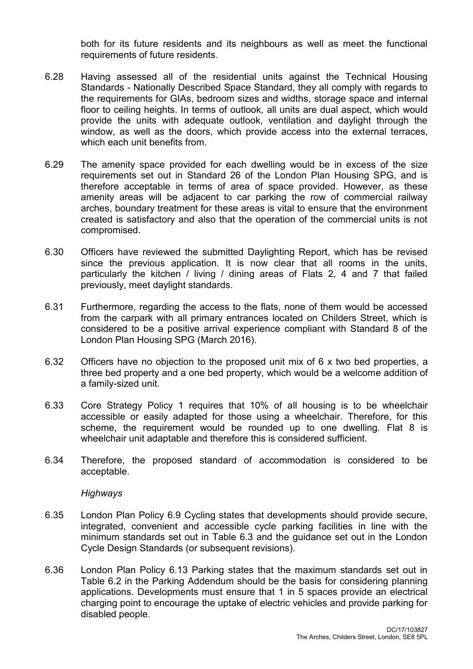both for its future residents and its neighbours as well as meet the functional requirements of future residents.

- 6.28 Having assessed all of the residential units against the Technical Housing Standards - Nationally Described Space Standard, they all comply with regards to the requirements for GIAs, bedroom sizes and widths, storage space and internal floor to ceiling heights. In terms of outlook, all units are dual aspect, which would provide the units with adequate outlook, ventilation and daylight through the window, as well as the doors, which provide access into the external terraces, which each unit benefits from.
- 6.29 The amenity space provided for each dwelling would be in excess of the size requirements set out in Standard 26 of the London Plan Housing SPG, and is therefore acceptable in terms of area of space provided. However, as these amenity areas will be adjacent to car parking the row of commercial railway arches, boundary treatment for these areas is vital to ensure that the environment created is satisfactory and also that the operation of the commercial units is not compromised.
- 6.30 Officers have reviewed the submitted Daylighting Report, which has be revised since the previous application. It is now clear that all rooms in the units, particularly the kitchen / living / dining areas of Flats 2, 4 and 7 that failed previously, meet daylight standards.
- 6.31 Furthermore, regarding the access to the flats, none of them would be accessed from the carpark with all primary entrances located on Childers Street, which is considered to be a positive arrival experience compliant with Standard 8 of the London Plan Housing SPG (March 2016).
- 6.32 Officers have no objection to the proposed unit mix of 6 x two bed properties, a three bed property and a one bed property, which would be a welcome addition of a family-sized unit.
- 6.33 Core Strategy Policy 1 requires that 10% of all housing is to be wheelchair accessible or easily adapted for those using a wheelchair. Therefore, for this scheme, the requirement would be rounded up to one dwelling. Flat 8 is wheelchair unit adaptable and therefore this is considered sufficient.
- 6.34 Therefore, the proposed standard of accommodation is considered to be acceptable.

*Highways*

- 6.35 London Plan Policy 6.9 Cycling states that developments should provide secure, integrated, convenient and accessible cycle parking facilities in line with the minimum standards set out in Table 6.3 and the guidance set out in the London Cycle Design Standards (or subsequent revisions).
- 6.36 London Plan Policy 6.13 Parking states that the maximum standards set out in Table 6.2 in the Parking Addendum should be the basis for considering planning applications. Developments must ensure that 1 in 5 spaces provide an electrical charging point to encourage the uptake of electric vehicles and provide parking for disabled people.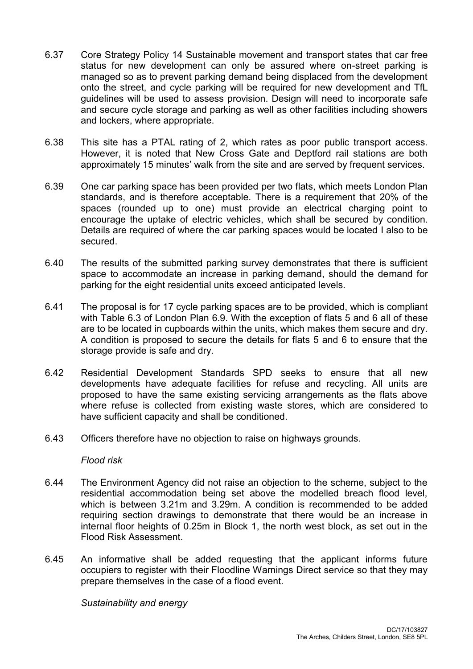- 6.37 Core Strategy Policy 14 Sustainable movement and transport states that car free status for new development can only be assured where on-street parking is managed so as to prevent parking demand being displaced from the development onto the street, and cycle parking will be required for new development and TfL guidelines will be used to assess provision. Design will need to incorporate safe and secure cycle storage and parking as well as other facilities including showers and lockers, where appropriate.
- 6.38 This site has a PTAL rating of 2, which rates as poor public transport access. However, it is noted that New Cross Gate and Deptford rail stations are both approximately 15 minutes' walk from the site and are served by frequent services.
- 6.39 One car parking space has been provided per two flats, which meets London Plan standards, and is therefore acceptable. There is a requirement that 20% of the spaces (rounded up to one) must provide an electrical charging point to encourage the uptake of electric vehicles, which shall be secured by condition. Details are required of where the car parking spaces would be located I also to be secured.
- 6.40 The results of the submitted parking survey demonstrates that there is sufficient space to accommodate an increase in parking demand, should the demand for parking for the eight residential units exceed anticipated levels.
- 6.41 The proposal is for 17 cycle parking spaces are to be provided, which is compliant with Table 6.3 of London Plan 6.9. With the exception of flats 5 and 6 all of these are to be located in cupboards within the units, which makes them secure and dry. A condition is proposed to secure the details for flats 5 and 6 to ensure that the storage provide is safe and dry.
- 6.42 Residential Development Standards SPD seeks to ensure that all new developments have adequate facilities for refuse and recycling. All units are proposed to have the same existing servicing arrangements as the flats above where refuse is collected from existing waste stores, which are considered to have sufficient capacity and shall be conditioned.
- 6.43 Officers therefore have no objection to raise on highways grounds.

#### *Flood risk*

- 6.44 The Environment Agency did not raise an objection to the scheme, subject to the residential accommodation being set above the modelled breach flood level, which is between 3.21m and 3.29m. A condition is recommended to be added requiring section drawings to demonstrate that there would be an increase in internal floor heights of 0.25m in Block 1, the north west block, as set out in the Flood Risk Assessment.
- 6.45 An informative shall be added requesting that the applicant informs future occupiers to register with their Floodline Warnings Direct service so that they may prepare themselves in the case of a flood event.

*Sustainability and energy*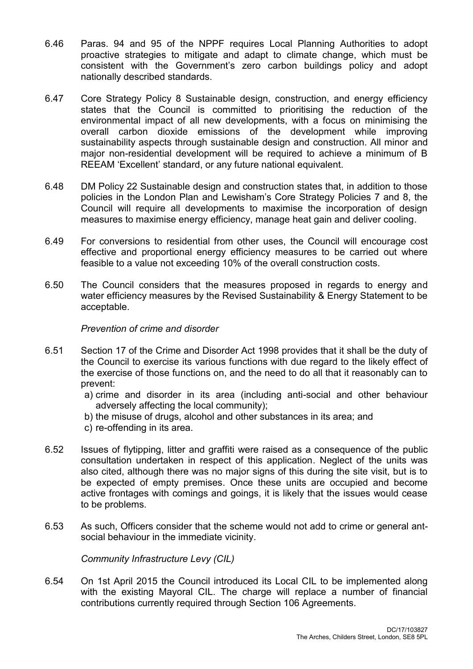- 6.46 Paras. 94 and 95 of the NPPF requires Local Planning Authorities to adopt proactive strategies to mitigate and adapt to climate change, which must be consistent with the Government's zero carbon buildings policy and adopt nationally described standards.
- 6.47 Core Strategy Policy 8 Sustainable design, construction, and energy efficiency states that the Council is committed to prioritising the reduction of the environmental impact of all new developments, with a focus on minimising the overall carbon dioxide emissions of the development while improving sustainability aspects through sustainable design and construction. All minor and major non-residential development will be required to achieve a minimum of B REEAM 'Excellent' standard, or any future national equivalent.
- 6.48 DM Policy 22 Sustainable design and construction states that, in addition to those policies in the London Plan and Lewisham's Core Strategy Policies 7 and 8, the Council will require all developments to maximise the incorporation of design measures to maximise energy efficiency, manage heat gain and deliver cooling.
- 6.49 For conversions to residential from other uses, the Council will encourage cost effective and proportional energy efficiency measures to be carried out where feasible to a value not exceeding 10% of the overall construction costs.
- 6.50 The Council considers that the measures proposed in regards to energy and water efficiency measures by the Revised Sustainability & Energy Statement to be acceptable.

## *Prevention of crime and disorder*

- 6.51 Section 17 of the Crime and Disorder Act 1998 provides that it shall be the duty of the Council to exercise its various functions with due regard to the likely effect of the exercise of those functions on, and the need to do all that it reasonably can to prevent:
	- a) crime and disorder in its area (including anti-social and other behaviour adversely affecting the local community);
	- b) the misuse of drugs, alcohol and other substances in its area; and
	- c) re-offending in its area.
- 6.52 Issues of flytipping, litter and graffiti were raised as a consequence of the public consultation undertaken in respect of this application. Neglect of the units was also cited, although there was no major signs of this during the site visit, but is to be expected of empty premises. Once these units are occupied and become active frontages with comings and goings, it is likely that the issues would cease to be problems.
- 6.53 As such, Officers consider that the scheme would not add to crime or general antsocial behaviour in the immediate vicinity.

*Community Infrastructure Levy (CIL)*

6.54 On 1st April 2015 the Council introduced its Local CIL to be implemented along with the existing Mayoral CIL. The charge will replace a number of financial contributions currently required through Section 106 Agreements.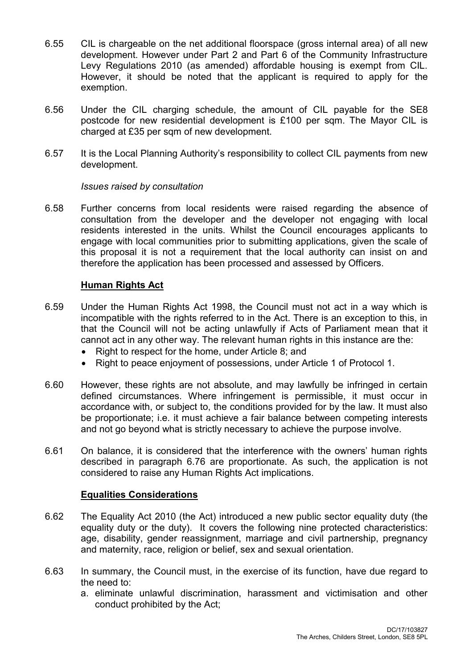- 6.55 CIL is chargeable on the net additional floorspace (gross internal area) of all new development. However under Part 2 and Part 6 of the Community Infrastructure Levy Regulations 2010 (as amended) affordable housing is exempt from CIL. However, it should be noted that the applicant is required to apply for the exemption.
- 6.56 Under the CIL charging schedule, the amount of CIL payable for the SE8 postcode for new residential development is £100 per sqm. The Mayor CIL is charged at £35 per sqm of new development.
- 6.57 It is the Local Planning Authority's responsibility to collect CIL payments from new development.

### *Issues raised by consultation*

6.58 Further concerns from local residents were raised regarding the absence of consultation from the developer and the developer not engaging with local residents interested in the units. Whilst the Council encourages applicants to engage with local communities prior to submitting applications, given the scale of this proposal it is not a requirement that the local authority can insist on and therefore the application has been processed and assessed by Officers.

## **Human Rights Act**

- 6.59 Under the Human Rights Act 1998, the Council must not act in a way which is incompatible with the rights referred to in the Act. There is an exception to this, in that the Council will not be acting unlawfully if Acts of Parliament mean that it cannot act in any other way. The relevant human rights in this instance are the:
	- Right to respect for the home, under Article 8; and
	- Right to peace enjoyment of possessions, under Article 1 of Protocol 1.
- 6.60 However, these rights are not absolute, and may lawfully be infringed in certain defined circumstances. Where infringement is permissible, it must occur in accordance with, or subject to, the conditions provided for by the law. It must also be proportionate; i.e. it must achieve a fair balance between competing interests and not go beyond what is strictly necessary to achieve the purpose involve.
- 6.61 On balance, it is considered that the interference with the owners' human rights described in paragraph 6.76 are proportionate. As such, the application is not considered to raise any Human Rights Act implications.

## **Equalities Considerations**

- 6.62 The Equality Act 2010 (the Act) introduced a new public sector equality duty (the equality duty or the duty). It covers the following nine protected characteristics: age, disability, gender reassignment, marriage and civil partnership, pregnancy and maternity, race, religion or belief, sex and sexual orientation.
- 6.63 In summary, the Council must, in the exercise of its function, have due regard to the need to:
	- a. eliminate unlawful discrimination, harassment and victimisation and other conduct prohibited by the Act;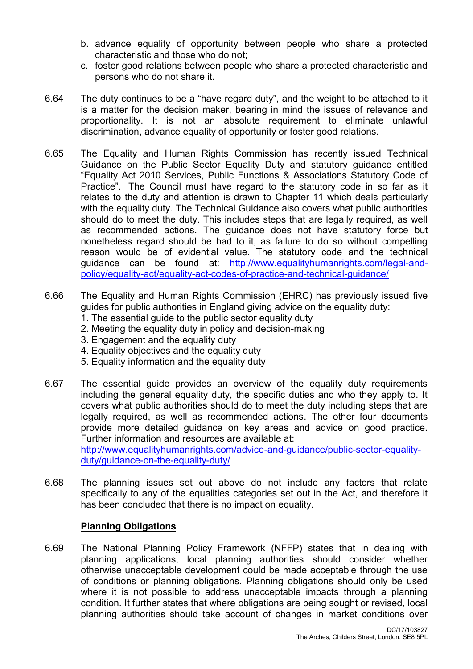- b. advance equality of opportunity between people who share a protected characteristic and those who do not;
- c. foster good relations between people who share a protected characteristic and persons who do not share it.
- 6.64 The duty continues to be a "have regard duty", and the weight to be attached to it is a matter for the decision maker, bearing in mind the issues of relevance and proportionality. It is not an absolute requirement to eliminate unlawful discrimination, advance equality of opportunity or foster good relations.
- 6.65 The Equality and Human Rights Commission has recently issued Technical Guidance on the Public Sector Equality Duty and statutory guidance entitled "Equality Act 2010 Services, Public Functions & Associations Statutory Code of Practice". The Council must have regard to the statutory code in so far as it relates to the duty and attention is drawn to Chapter 11 which deals particularly with the equality duty. The Technical Guidance also covers what public authorities should do to meet the duty. This includes steps that are legally required, as well as recommended actions. The guidance does not have statutory force but nonetheless regard should be had to it, as failure to do so without compelling reason would be of evidential value. The statutory code and the technical guidance can be found at: [http://www.equalityhumanrights.com/legal-and](http://www.equalityhumanrights.com/legal-and-policy/equality-act/equality-act-codes-of-practice-and-technical-guidance/)[policy/equality-act/equality-act-codes-of-practice-and-technical-guidance/](http://www.equalityhumanrights.com/legal-and-policy/equality-act/equality-act-codes-of-practice-and-technical-guidance/)
- 6.66 The Equality and Human Rights Commission (EHRC) has previously issued five guides for public authorities in England giving advice on the equality duty:
	- 1. The essential guide to the public sector equality duty
	- 2. Meeting the equality duty in policy and decision-making
	- 3. Engagement and the equality duty
	- 4. Equality objectives and the equality duty
	- 5. Equality information and the equality duty
- 6.67 The essential guide provides an overview of the equality duty requirements including the general equality duty, the specific duties and who they apply to. It covers what public authorities should do to meet the duty including steps that are legally required, as well as recommended actions. The other four documents provide more detailed guidance on key areas and advice on good practice. Further information and resources are available at: [http://www.equalityhumanrights.com/advice-and-guidance/public-sector-equality](http://www.equalityhumanrights.com/advice-and-guidance/public-sector-equality-duty/guidance-on-the-equality-duty/)[duty/guidance-on-the-equality-duty/](http://www.equalityhumanrights.com/advice-and-guidance/public-sector-equality-duty/guidance-on-the-equality-duty/)
- 6.68 The planning issues set out above do not include any factors that relate specifically to any of the equalities categories set out in the Act, and therefore it has been concluded that there is no impact on equality.

## **Planning Obligations**

6.69 The National Planning Policy Framework (NFFP) states that in dealing with planning applications, local planning authorities should consider whether otherwise unacceptable development could be made acceptable through the use of conditions or planning obligations. Planning obligations should only be used where it is not possible to address unacceptable impacts through a planning condition. It further states that where obligations are being sought or revised, local planning authorities should take account of changes in market conditions over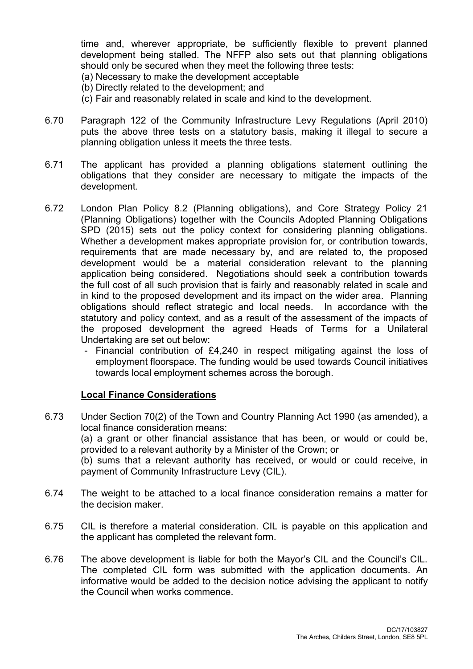time and, wherever appropriate, be sufficiently flexible to prevent planned development being stalled. The NFFP also sets out that planning obligations should only be secured when they meet the following three tests:

- (a) Necessary to make the development acceptable
- (b) Directly related to the development; and
- (c) Fair and reasonably related in scale and kind to the development.
- 6.70 Paragraph 122 of the Community Infrastructure Levy Regulations (April 2010) puts the above three tests on a statutory basis, making it illegal to secure a planning obligation unless it meets the three tests.
- 6.71 The applicant has provided a planning obligations statement outlining the obligations that they consider are necessary to mitigate the impacts of the development.
- 6.72 London Plan Policy 8.2 (Planning obligations), and Core Strategy Policy 21 (Planning Obligations) together with the Councils Adopted Planning Obligations SPD (2015) sets out the policy context for considering planning obligations. Whether a development makes appropriate provision for, or contribution towards, requirements that are made necessary by, and are related to, the proposed development would be a material consideration relevant to the planning application being considered. Negotiations should seek a contribution towards the full cost of all such provision that is fairly and reasonably related in scale and in kind to the proposed development and its impact on the wider area. Planning obligations should reflect strategic and local needs. In accordance with the statutory and policy context, and as a result of the assessment of the impacts of the proposed development the agreed Heads of Terms for a Unilateral Undertaking are set out below:
	- Financial contribution of £4,240 in respect mitigating against the loss of employment floorspace. The funding would be used towards Council initiatives towards local employment schemes across the borough.

#### **Local Finance Considerations**

- 6.73 Under Section 70(2) of the Town and Country Planning Act 1990 (as amended), a local finance consideration means: (a) a grant or other financial assistance that has been, or would or could be, provided to a relevant authority by a Minister of the Crown; or (b) sums that a relevant authority has received, or would or could receive, in payment of Community Infrastructure Levy (CIL).
- 6.74 The weight to be attached to a local finance consideration remains a matter for the decision maker.
- 6.75 CIL is therefore a material consideration. CIL is payable on this application and the applicant has completed the relevant form.
- 6.76 The above development is liable for both the Mayor's CIL and the Council's CIL. The completed CIL form was submitted with the application documents. An informative would be added to the decision notice advising the applicant to notify the Council when works commence.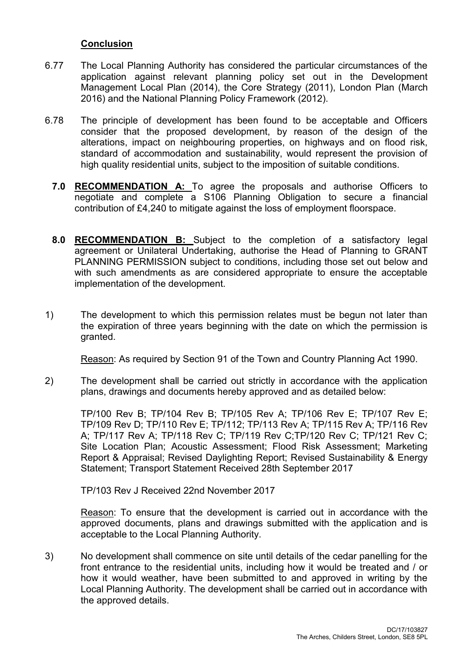## **Conclusion**

- 6.77 The Local Planning Authority has considered the particular circumstances of the application against relevant planning policy set out in the Development Management Local Plan (2014), the Core Strategy (2011), London Plan (March 2016) and the National Planning Policy Framework (2012).
- 6.78 The principle of development has been found to be acceptable and Officers consider that the proposed development, by reason of the design of the alterations, impact on neighbouring properties, on highways and on flood risk, standard of accommodation and sustainability, would represent the provision of high quality residential units, subject to the imposition of suitable conditions.
	- **7.0 RECOMMENDATION A:** To agree the proposals and authorise Officers to negotiate and complete a S106 Planning Obligation to secure a financial contribution of £4,240 to mitigate against the loss of employment floorspace.
	- **8.0 RECOMMENDATION B:** Subject to the completion of a satisfactory legal agreement or Unilateral Undertaking, authorise the Head of Planning to GRANT PLANNING PERMISSION subject to conditions, including those set out below and with such amendments as are considered appropriate to ensure the acceptable implementation of the development.
- 1) The development to which this permission relates must be begun not later than the expiration of three years beginning with the date on which the permission is granted.

Reason: As required by Section 91 of the Town and Country Planning Act 1990.

2) The development shall be carried out strictly in accordance with the application plans, drawings and documents hereby approved and as detailed below:

TP/100 Rev B; TP/104 Rev B; TP/105 Rev A; TP/106 Rev E; TP/107 Rev E; TP/109 Rev D; TP/110 Rev E; TP/112; TP/113 Rev A; TP/115 Rev A; TP/116 Rev A; TP/117 Rev A; TP/118 Rev C; TP/119 Rev C;TP/120 Rev C; TP/121 Rev C; Site Location Plan; Acoustic Assessment; Flood Risk Assessment; Marketing Report & Appraisal; Revised Daylighting Report; Revised Sustainability & Energy Statement; Transport Statement Received 28th September 2017

TP/103 Rev J Received 22nd November 2017

Reason: To ensure that the development is carried out in accordance with the approved documents, plans and drawings submitted with the application and is acceptable to the Local Planning Authority.

3) No development shall commence on site until details of the cedar panelling for the front entrance to the residential units, including how it would be treated and / or how it would weather, have been submitted to and approved in writing by the Local Planning Authority. The development shall be carried out in accordance with the approved details.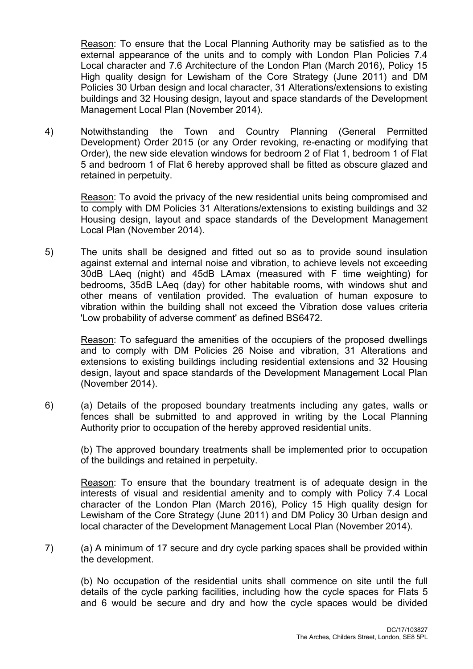Reason: To ensure that the Local Planning Authority may be satisfied as to the external appearance of the units and to comply with London Plan Policies 7.4 Local character and 7.6 Architecture of the London Plan (March 2016), Policy 15 High quality design for Lewisham of the Core Strategy (June 2011) and DM Policies 30 Urban design and local character, 31 Alterations/extensions to existing buildings and 32 Housing design, layout and space standards of the Development Management Local Plan (November 2014).

4) Notwithstanding the Town and Country Planning (General Permitted Development) Order 2015 (or any Order revoking, re-enacting or modifying that Order), the new side elevation windows for bedroom 2 of Flat 1, bedroom 1 of Flat 5 and bedroom 1 of Flat 6 hereby approved shall be fitted as obscure glazed and retained in perpetuity.

Reason: To avoid the privacy of the new residential units being compromised and to comply with DM Policies 31 Alterations/extensions to existing buildings and 32 Housing design, layout and space standards of the Development Management Local Plan (November 2014).

5) The units shall be designed and fitted out so as to provide sound insulation against external and internal noise and vibration, to achieve levels not exceeding 30dB LAeq (night) and 45dB LAmax (measured with F time weighting) for bedrooms, 35dB LAeq (day) for other habitable rooms, with windows shut and other means of ventilation provided. The evaluation of human exposure to vibration within the building shall not exceed the Vibration dose values criteria 'Low probability of adverse comment' as defined BS6472.

Reason: To safeguard the amenities of the occupiers of the proposed dwellings and to comply with DM Policies 26 Noise and vibration, 31 Alterations and extensions to existing buildings including residential extensions and 32 Housing design, layout and space standards of the Development Management Local Plan (November 2014).

6) (a) Details of the proposed boundary treatments including any gates, walls or fences shall be submitted to and approved in writing by the Local Planning Authority prior to occupation of the hereby approved residential units.

(b) The approved boundary treatments shall be implemented prior to occupation of the buildings and retained in perpetuity.

Reason: To ensure that the boundary treatment is of adequate design in the interests of visual and residential amenity and to comply with Policy 7.4 Local character of the London Plan (March 2016), Policy 15 High quality design for Lewisham of the Core Strategy (June 2011) and DM Policy 30 Urban design and local character of the Development Management Local Plan (November 2014).

7) (a) A minimum of 17 secure and dry cycle parking spaces shall be provided within the development.

(b) No occupation of the residential units shall commence on site until the full details of the cycle parking facilities, including how the cycle spaces for Flats 5 and 6 would be secure and dry and how the cycle spaces would be divided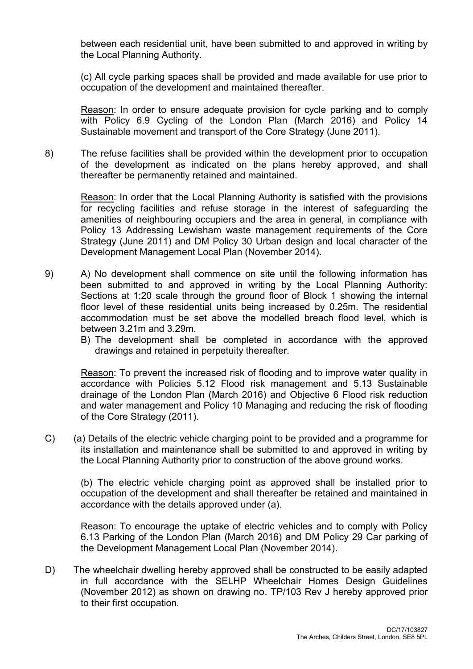between each residential unit, have been submitted to and approved in writing by the Local Planning Authority.

(c) All cycle parking spaces shall be provided and made available for use prior to occupation of the development and maintained thereafter.

Reason: In order to ensure adequate provision for cycle parking and to comply with Policy 6.9 Cycling of the London Plan (March 2016) and Policy 14 Sustainable movement and transport of the Core Strategy (June 2011).

8) The refuse facilities shall be provided within the development prior to occupation of the development as indicated on the plans hereby approved, and shall thereafter be permanently retained and maintained.

Reason: In order that the Local Planning Authority is satisfied with the provisions for recycling facilities and refuse storage in the interest of safeguarding the amenities of neighbouring occupiers and the area in general, in compliance with Policy 13 Addressing Lewisham waste management requirements of the Core Strategy (June 2011) and DM Policy 30 Urban design and local character of the Development Management Local Plan (November 2014).

- 9) A) No development shall commence on site until the following information has been submitted to and approved in writing by the Local Planning Authority: Sections at 1:20 scale through the ground floor of Block 1 showing the internal floor level of these residential units being increased by 0.25m. The residential accommodation must be set above the modelled breach flood level, which is between 3.21m and 3.29m.
	- B) The development shall be completed in accordance with the approved drawings and retained in perpetuity thereafter.

Reason: To prevent the increased risk of flooding and to improve water quality in accordance with Policies 5.12 Flood risk management and 5.13 Sustainable drainage of the London Plan (March 2016) and Objective 6 Flood risk reduction and water management and Policy 10 Managing and reducing the risk of flooding of the Core Strategy (2011).

C) (a) Details of the electric vehicle charging point to be provided and a programme for its installation and maintenance shall be submitted to and approved in writing by the Local Planning Authority prior to construction of the above ground works.

(b) The electric vehicle charging point as approved shall be installed prior to occupation of the development and shall thereafter be retained and maintained in accordance with the details approved under (a).

Reason: To encourage the uptake of electric vehicles and to comply with Policy 6.13 Parking of the London Plan (March 2016) and DM Policy 29 Car parking of the Development Management Local Plan (November 2014).

D) The wheelchair dwelling hereby approved shall be constructed to be easily adapted in full accordance with the SELHP Wheelchair Homes Design Guidelines (November 2012) as shown on drawing no. TP/103 Rev J hereby approved prior to their first occupation.